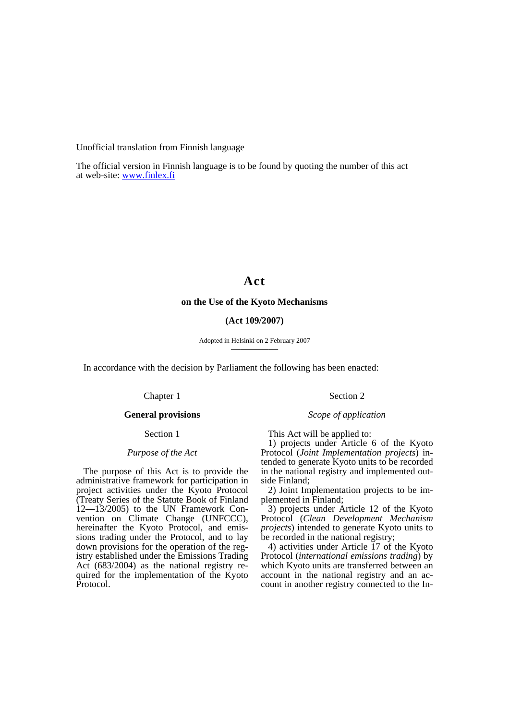Unofficial translation from Finnish language

The official version in Finnish language is to be found by quoting the number of this act at web-site: [www.finlex.fi](http://www.finlex.fi/)

# **Act**

### **on the Use of the Kyoto Mechanisms**

# **(Act 109/2007)**

Adopted in Helsinki on 2 February 2007 —————

In accordance with the decision by Parliament the following has been enacted:

# Chapter 1

# **General provisions**

# Section 1

# *Purpose of the Act*

The purpose of this Act is to provide the administrative framework for participation in project activities under the Kyoto Protocol (Treaty Series of the Statute Book of Finland  $12-13/2005$ ) to the UN Framework Convention on Climate Change (UNFCCC), hereinafter the Kyoto Protocol, and emissions trading under the Protocol, and to lay down provisions for the operation of the registry established under the Emissions Trading Act (683/2004) as the national registry required for the implementation of the Kyoto Protocol.

This Act will be applied to:

1) projects under Article 6 of the Kyoto Protocol (*Joint Implementation projects*) intended to generate Kyoto units to be recorded in the national registry and implemented outside Finland;

Section 2

*Scope of application* 

2) Joint Implementation projects to be implemented in Finland;

3) projects under Article 12 of the Kyoto Protocol (*Clean Development Mechanism projects*) intended to generate Kyoto units to be recorded in the national registry;

4) activities under Article 17 of the Kyoto Protocol (*international emissions trading*) by which Kyoto units are transferred between an account in the national registry and an account in another registry connected to the In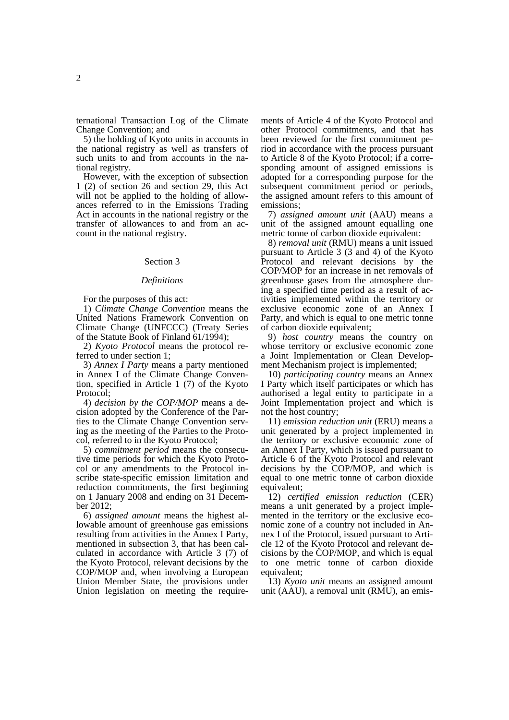ternational Transaction Log of the Climate Change Convention; and

5) the holding of Kyoto units in accounts in the national registry as well as transfers of such units to and from accounts in the national registry.

However, with the exception of subsection 1 (2) of section 26 and section 29, this Act will not be applied to the holding of allowances referred to in the Emissions Trading Act in accounts in the national registry or the transfer of allowances to and from an account in the national registry.

#### Section 3

#### *Definitions*

For the purposes of this act:

1) *Climate Change Convention* means the United Nations Framework Convention on Climate Change (UNFCCC) (Treaty Series of the Statute Book of Finland 61/1994);

2) *Kyoto Protocol* means the protocol referred to under section 1;

3) *Annex I Party* means a party mentioned in Annex I of the Climate Change Convention, specified in Article 1 (7) of the Kyoto Protocol;

4) *decision by the COP/MOP* means a decision adopted by the Conference of the Parties to the Climate Change Convention serving as the meeting of the Parties to the Protocol, referred to in the Kyoto Protocol;

5) *commitment period* means the consecutive time periods for which the Kyoto Protocol or any amendments to the Protocol inscribe state-specific emission limitation and reduction commitments, the first beginning on 1 January 2008 and ending on 31 December 2012;

6) *assigned amount* means the highest allowable amount of greenhouse gas emissions resulting from activities in the Annex I Party, mentioned in subsection 3, that has been calculated in accordance with Article 3 (7) of the Kyoto Protocol, relevant decisions by the COP/MOP and, when involving a European Union Member State, the provisions under Union legislation on meeting the require-

ments of Article 4 of the Kyoto Protocol and other Protocol commitments, and that has been reviewed for the first commitment period in accordance with the process pursuant to Article 8 of the Kyoto Protocol; if a corresponding amount of assigned emissions is adopted for a corresponding purpose for the subsequent commitment period or periods, the assigned amount refers to this amount of emissions;

7) *assigned amount unit* (AAU) means a unit of the assigned amount equalling one metric tonne of carbon dioxide equivalent:

8) *removal unit* (RMU) means a unit issued pursuant to Article 3 (3 and 4) of the Kyoto Protocol and relevant decisions by the COP/MOP for an increase in net removals of greenhouse gases from the atmosphere during a specified time period as a result of activities implemented within the territory or exclusive economic zone of an Annex I Party, and which is equal to one metric tonne of carbon dioxide equivalent;

9) *host country* means the country on whose territory or exclusive economic zone a Joint Implementation or Clean Development Mechanism project is implemented;

10) *participating country* means an Annex I Party which itself participates or which has authorised a legal entity to participate in a Joint Implementation project and which is not the host country;

11) *emission reduction unit* (ERU) means a unit generated by a project implemented in the territory or exclusive economic zone of an Annex I Party, which is issued pursuant to Article 6 of the Kyoto Protocol and relevant decisions by the COP/MOP, and which is equal to one metric tonne of carbon dioxide equivalent;

12) *certified emission reduction* (CER) means a unit generated by a project implemented in the territory or the exclusive economic zone of a country not included in Annex I of the Protocol, issued pursuant to Article 12 of the Kyoto Protocol and relevant decisions by the COP/MOP, and which is equal to one metric tonne of carbon dioxide equivalent;

13) *Kyoto unit* means an assigned amount unit (AAU), a removal unit (RMU), an emis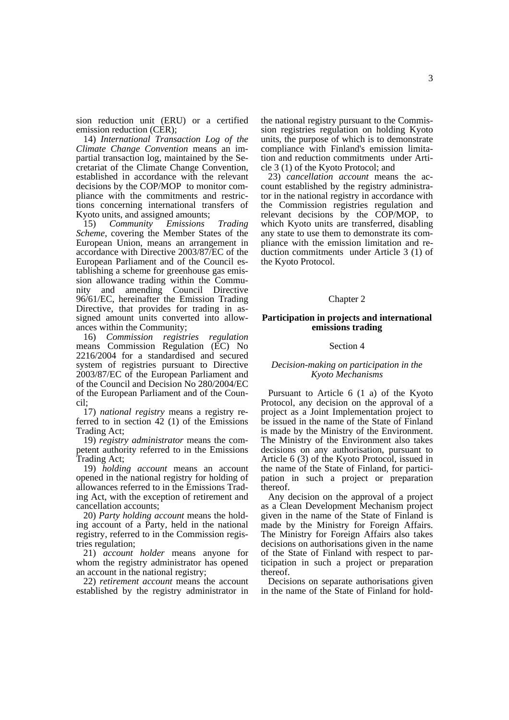sion reduction unit (ERU) or a certified emission reduction (CER);

14) *International Transaction Log of the Climate Change Convention* means an impartial transaction log, maintained by the Secretariat of the Climate Change Convention, established in accordance with the relevant decisions by the COP/MOP to monitor compliance with the commitments and restrictions concerning international transfers of Kyoto units, and assigned amounts;

15) *Community Emissions Trading Scheme*, covering the Member States of the European Union, means an arrangement in accordance with Directive 2003/87/EC of the European Parliament and of the Council establishing a scheme for greenhouse gas emission allowance trading within the Community and amending Council Directive 96/61/EC, hereinafter the Emission Trading Directive, that provides for trading in assigned amount units converted into allowances within the Community;

16) *Commission registries regulation* means Commission Regulation (EC) No 2216/2004 for a standardised and secured system of registries pursuant to Directive 2003/87/EC of the European Parliament and of the Council and Decision No 280/2004/EC of the European Parliament and of the Council;

17) *national registry* means a registry referred to in section 42 (1) of the Emissions Trading Act;

19) *registry administrator* means the competent authority referred to in the Emissions Trading Act;

19) *holding account* means an account opened in the national registry for holding of allowances referred to in the Emissions Trading Act, with the exception of retirement and cancellation accounts;

20) *Party holding account* means the holding account of a Party, held in the national registry, referred to in the Commission registries regulation;

21) *account holder* means anyone for whom the registry administrator has opened an account in the national registry;

22) *retirement account* means the account established by the registry administrator in the national registry pursuant to the Commission registries regulation on holding Kyoto units, the purpose of which is to demonstrate compliance with Finland's emission limitation and reduction commitments under Article 3 (1) of the Kyoto Protocol; and

23) *cancellation account* means the account established by the registry administrator in the national registry in accordance with the Commission registries regulation and relevant decisions by the COP/MOP, to which Kyoto units are transferred, disabling any state to use them to demonstrate its compliance with the emission limitation and reduction commitments under Article 3 (1) of the Kyoto Protocol.

### Chapter 2

### **Participation in projects and international emissions trading**

#### Section 4

# *Decision-making on participation in the Kyoto Mechanisms*

Pursuant to Article 6 (1 a) of the Kyoto Protocol, any decision on the approval of a project as a Joint Implementation project to be issued in the name of the State of Finland is made by the Ministry of the Environment. The Ministry of the Environment also takes decisions on any authorisation, pursuant to Article 6 (3) of the Kyoto Protocol, issued in the name of the State of Finland, for participation in such a project or preparation thereof.

Any decision on the approval of a project as a Clean Development Mechanism project given in the name of the State of Finland is made by the Ministry for Foreign Affairs. The Ministry for Foreign Affairs also takes decisions on authorisations given in the name of the State of Finland with respect to participation in such a project or preparation thereof.

Decisions on separate authorisations given in the name of the State of Finland for hold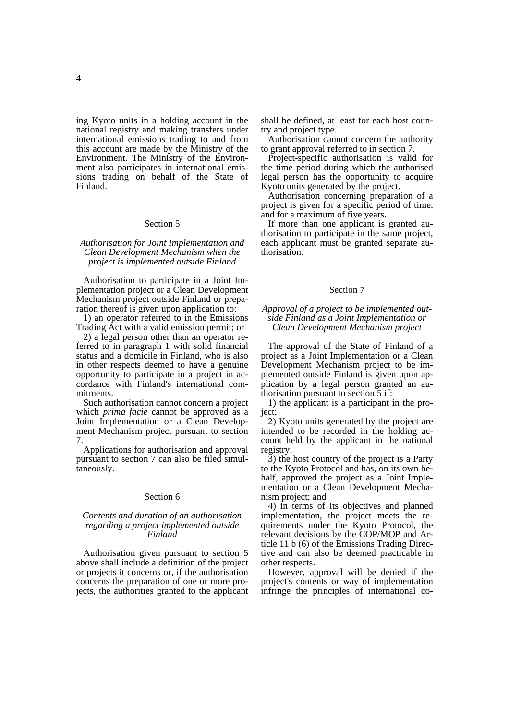ing Kyoto units in a holding account in the national registry and making transfers under international emissions trading to and from this account are made by the Ministry of the

Environment. The Ministry of the Environment also participates in international emissions trading on behalf of the State of Finland.

# Section 5

# *Authorisation for Joint Implementation and Clean Development Mechanism when the project is implemented outside Finland*

Authorisation to participate in a Joint Implementation project or a Clean Development Mechanism project outside Finland or preparation thereof is given upon application to:

1) an operator referred to in the Emissions Trading Act with a valid emission permit; or

2) a legal person other than an operator referred to in paragraph 1 with solid financial status and a domicile in Finland, who is also in other respects deemed to have a genuine opportunity to participate in a project in accordance with Finland's international commitments.

Such authorisation cannot concern a project which *prima facie* cannot be approved as a Joint Implementation or a Clean Development Mechanism project pursuant to section 7.

Applications for authorisation and approval pursuant to section 7 can also be filed simultaneously.

### Section 6

# *Contents and duration of an authorisation regarding a project implemented outside Finland*

Authorisation given pursuant to section 5 above shall include a definition of the project or projects it concerns or, if the authorisation concerns the preparation of one or more projects, the authorities granted to the applicant

shall be defined, at least for each host country and project type.

Authorisation cannot concern the authority to grant approval referred to in section 7.

Project-specific authorisation is valid for the time period during which the authorised legal person has the opportunity to acquire Kyoto units generated by the project.

Authorisation concerning preparation of a project is given for a specific period of time, and for a maximum of five years.

If more than one applicant is granted authorisation to participate in the same project, each applicant must be granted separate authorisation.

#### Section 7

# *Approval of a project to be implemented outside Finland as a Joint Implementation or Clean Development Mechanism project*

The approval of the State of Finland of a project as a Joint Implementation or a Clean Development Mechanism project to be implemented outside Finland is given upon application by a legal person granted an authorisation pursuant to section 5 if:

1) the applicant is a participant in the project:

2) Kyoto units generated by the project are intended to be recorded in the holding account held by the applicant in the national registry;

3) the host country of the project is a Party to the Kyoto Protocol and has, on its own behalf, approved the project as a Joint Implementation or a Clean Development Mechanism project; and

4) in terms of its objectives and planned implementation, the project meets the requirements under the Kyoto Protocol, the relevant decisions by the COP/MOP and Article 11 b (6) of the Emissions Trading Directive and can also be deemed practicable in other respects.

However, approval will be denied if the project's contents or way of implementation infringe the principles of international co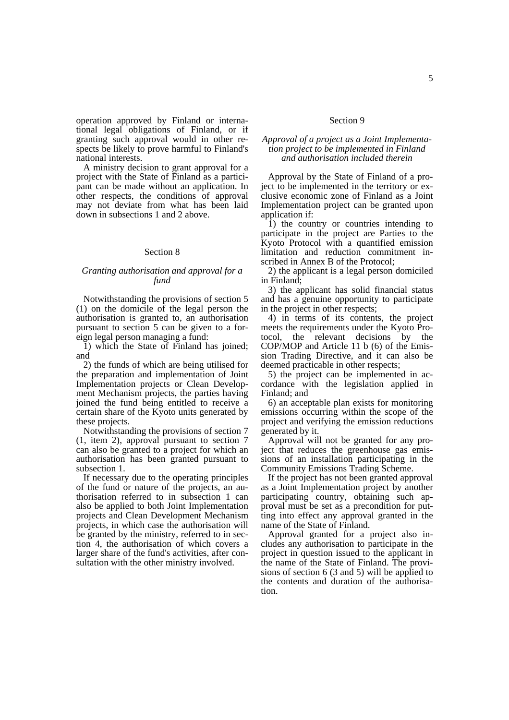operation approved by Finland or international legal obligations of Finland, or if granting such approval would in other respects be likely to prove harmful to Finland's national interests.

A ministry decision to grant approval for a project with the State of Finland as a participant can be made without an application. In other respects, the conditions of approval may not deviate from what has been laid down in subsections 1 and 2 above.

# Section 8

# *Granting authorisation and approval for a fund*

Notwithstanding the provisions of section 5 (1) on the domicile of the legal person the authorisation is granted to, an authorisation pursuant to section 5 can be given to a foreign legal person managing a fund:

1) which the State of Finland has joined; and

2) the funds of which are being utilised for the preparation and implementation of Joint Implementation projects or Clean Development Mechanism projects, the parties having joined the fund being entitled to receive a certain share of the Kyoto units generated by these projects.

Notwithstanding the provisions of section 7 (1, item 2), approval pursuant to section 7 can also be granted to a project for which an authorisation has been granted pursuant to subsection 1.

If necessary due to the operating principles of the fund or nature of the projects, an authorisation referred to in subsection 1 can also be applied to both Joint Implementation projects and Clean Development Mechanism projects, in which case the authorisation will be granted by the ministry, referred to in section 4, the authorisation of which covers a larger share of the fund's activities, after consultation with the other ministry involved.

# Section 9

# *Approval of a project as a Joint Implementation project to be implemented in Finland and authorisation included therein*

Approval by the State of Finland of a project to be implemented in the territory or exclusive economic zone of Finland as a Joint Implementation project can be granted upon application if:

 $\overline{1}$ ) the country or countries intending to participate in the project are Parties to the Kyoto Protocol with a quantified emission limitation and reduction commitment inscribed in Annex B of the Protocol;

2) the applicant is a legal person domiciled in Finland;

3) the applicant has solid financial status and has a genuine opportunity to participate in the project in other respects;

4) in terms of its contents, the project meets the requirements under the Kyoto Protocol, the relevant decisions by the COP/MOP and Article 11 b (6) of the Emission Trading Directive, and it can also be deemed practicable in other respects;

5) the project can be implemented in accordance with the legislation applied in Finland; and

6) an acceptable plan exists for monitoring emissions occurring within the scope of the project and verifying the emission reductions generated by it.

Approval will not be granted for any project that reduces the greenhouse gas emissions of an installation participating in the Community Emissions Trading Scheme.

If the project has not been granted approval as a Joint Implementation project by another participating country, obtaining such approval must be set as a precondition for putting into effect any approval granted in the name of the State of Finland.

Approval granted for a project also includes any authorisation to participate in the project in question issued to the applicant in the name of the State of Finland. The provisions of section 6 (3 and 5) will be applied to the contents and duration of the authorisation.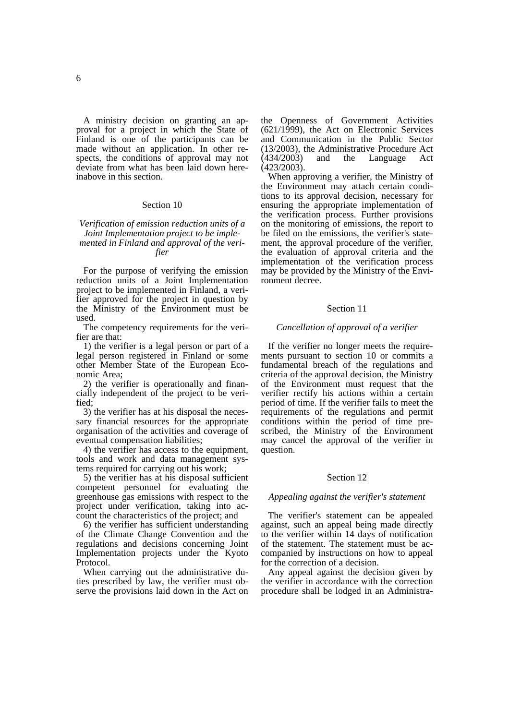A ministry decision on granting an approval for a project in which the State of Finland is one of the participants can be made without an application. In other respects, the conditions of approval may not deviate from what has been laid down hereinabove in this section.

# Section 10

*Verification of emission reduction units of a Joint Implementation project to be implemented in Finland and approval of the verifier* 

For the purpose of verifying the emission reduction units of a Joint Implementation project to be implemented in Finland, a verifier approved for the project in question by the Ministry of the Environment must be used.

The competency requirements for the verifier are that:

1) the verifier is a legal person or part of a legal person registered in Finland or some other Member State of the European Economic Area;

2) the verifier is operationally and financially independent of the project to be verified;

3) the verifier has at his disposal the necessary financial resources for the appropriate organisation of the activities and coverage of eventual compensation liabilities;

4) the verifier has access to the equipment, tools and work and data management systems required for carrying out his work;

5) the verifier has at his disposal sufficient competent personnel for evaluating the greenhouse gas emissions with respect to the project under verification, taking into account the characteristics of the project; and

6) the verifier has sufficient understanding of the Climate Change Convention and the regulations and decisions concerning Joint Implementation projects under the Kyoto Protocol.

When carrying out the administrative duties prescribed by law, the verifier must observe the provisions laid down in the Act on the Openness of Government Activities (621/1999), the Act on Electronic Services and Communication in the Public Sector (13/2003), the Administrative Procedure Act (434/2003) and the Language Act (423/2003).

When approving a verifier, the Ministry of the Environment may attach certain conditions to its approval decision, necessary for ensuring the appropriate implementation of the verification process. Further provisions on the monitoring of emissions, the report to be filed on the emissions, the verifier's statement, the approval procedure of the verifier, the evaluation of approval criteria and the implementation of the verification process may be provided by the Ministry of the Environment decree.

#### Section 11

#### *Cancellation of approval of a verifier*

If the verifier no longer meets the requirements pursuant to section 10 or commits a fundamental breach of the regulations and criteria of the approval decision, the Ministry of the Environment must request that the verifier rectify his actions within a certain period of time. If the verifier fails to meet the requirements of the regulations and permit conditions within the period of time prescribed, the Ministry of the Environment may cancel the approval of the verifier in question.

### Section 12

#### *Appealing against the verifier's statement*

The verifier's statement can be appealed against, such an appeal being made directly to the verifier within 14 days of notification of the statement. The statement must be accompanied by instructions on how to appeal for the correction of a decision.

Any appeal against the decision given by the verifier in accordance with the correction procedure shall be lodged in an Administra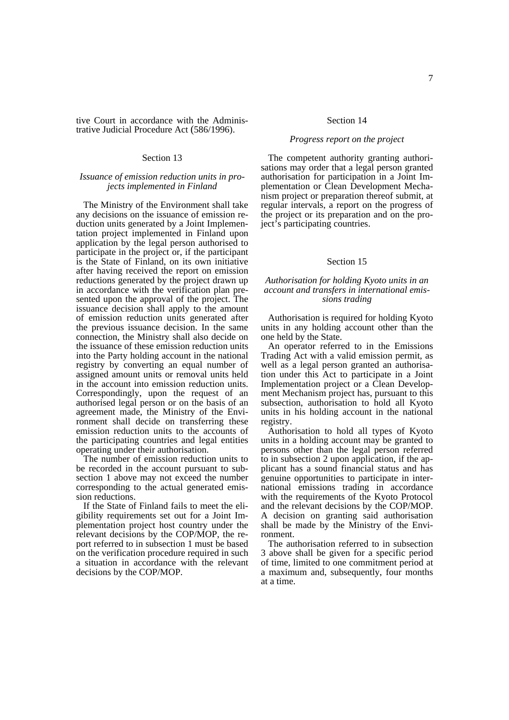tive Court in accordance with the Administrative Judicial Procedure Act (586/1996).

### Section 13

# *Issuance of emission reduction units in projects implemented in Finland*

The Ministry of the Environment shall take any decisions on the issuance of emission reduction units generated by a Joint Implementation project implemented in Finland upon application by the legal person authorised to participate in the project or, if the participant is the State of Finland, on its own initiative after having received the report on emission reductions generated by the project drawn up in accordance with the verification plan presented upon the approval of the project. The issuance decision shall apply to the amount of emission reduction units generated after the previous issuance decision. In the same connection, the Ministry shall also decide on the issuance of these emission reduction units into the Party holding account in the national registry by converting an equal number of assigned amount units or removal units held in the account into emission reduction units. Correspondingly, upon the request of an authorised legal person or on the basis of an agreement made, the Ministry of the Environment shall decide on transferring these emission reduction units to the accounts of the participating countries and legal entities operating under their authorisation.

The number of emission reduction units to be recorded in the account pursuant to subsection 1 above may not exceed the number corresponding to the actual generated emission reductions.

If the State of Finland fails to meet the eligibility requirements set out for a Joint Implementation project host country under the relevant decisions by the COP/MOP, the report referred to in subsection 1 must be based on the verification procedure required in such a situation in accordance with the relevant decisions by the COP/MOP.

#### Section 14

# *Progress report on the project*

The competent authority granting authorisations may order that a legal person granted authorisation for participation in a Joint Implementation or Clean Development Mechanism project or preparation thereof submit, at regular intervals, a report on the progress of the project or its preparation and on the project's participating countries.

### Section 15

# *Authorisation for holding Kyoto units in an account and transfers in international emissions trading*

Authorisation is required for holding Kyoto units in any holding account other than the one held by the State.

An operator referred to in the Emissions Trading Act with a valid emission permit, as well as a legal person granted an authorisation under this Act to participate in a Joint Implementation project or a Clean Development Mechanism project has, pursuant to this subsection, authorisation to hold all Kyoto units in his holding account in the national registry.

Authorisation to hold all types of Kyoto units in a holding account may be granted to persons other than the legal person referred to in subsection 2 upon application, if the applicant has a sound financial status and has genuine opportunities to participate in international emissions trading in accordance with the requirements of the Kyoto Protocol and the relevant decisions by the COP/MOP. A decision on granting said authorisation shall be made by the Ministry of the Environment.

The authorisation referred to in subsection 3 above shall be given for a specific period of time, limited to one commitment period at a maximum and, subsequently, four months at a time.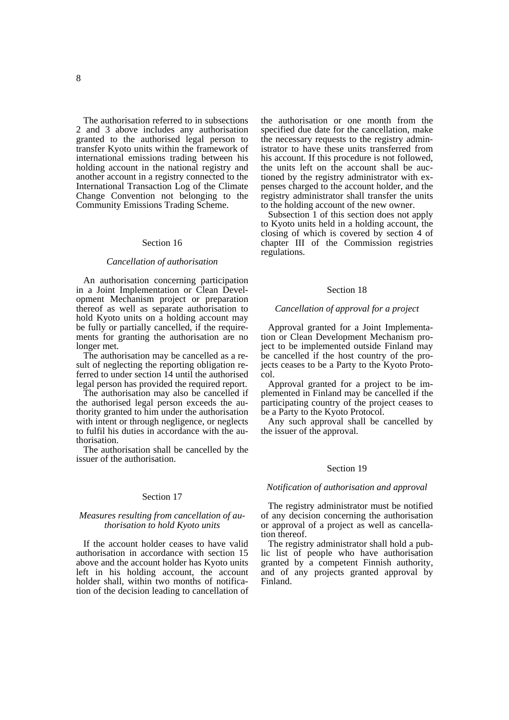The authorisation referred to in subsections 2 and 3 above includes any authorisation granted to the authorised legal person to transfer Kyoto units within the framework of international emissions trading between his holding account in the national registry and another account in a registry connected to the International Transaction Log of the Climate Change Convention not belonging to the Community Emissions Trading Scheme.

### Section 16

# *Cancellation of authorisation*

An authorisation concerning participation in a Joint Implementation or Clean Development Mechanism project or preparation thereof as well as separate authorisation to hold Kyoto units on a holding account may be fully or partially cancelled, if the requirements for granting the authorisation are no longer met.

The authorisation may be cancelled as a result of neglecting the reporting obligation referred to under section 14 until the authorised legal person has provided the required report.

The authorisation may also be cancelled if the authorised legal person exceeds the authority granted to him under the authorisation with intent or through negligence, or neglects to fulfil his duties in accordance with the authorisation.

The authorisation shall be cancelled by the issuer of the authorisation.

### Section 17

### *Measures resulting from cancellation of authorisation to hold Kyoto units*

If the account holder ceases to have valid authorisation in accordance with section 15 above and the account holder has Kyoto units left in his holding account, the account holder shall, within two months of notification of the decision leading to cancellation of the authorisation or one month from the specified due date for the cancellation, make the necessary requests to the registry administrator to have these units transferred from his account. If this procedure is not followed, the units left on the account shall be auctioned by the registry administrator with expenses charged to the account holder, and the registry administrator shall transfer the units to the holding account of the new owner.

Subsection 1 of this section does not apply to Kyoto units held in a holding account, the closing of which is covered by section 4 of chapter III of the Commission registries regulations.

#### Section 18

#### *Cancellation of approval for a project*

Approval granted for a Joint Implementation or Clean Development Mechanism project to be implemented outside Finland may be cancelled if the host country of the projects ceases to be a Party to the Kyoto Protocol.

Approval granted for a project to be implemented in Finland may be cancelled if the participating country of the project ceases to be a Party to the Kyoto Protocol.

Any such approval shall be cancelled by the issuer of the approval.

### Section 19

#### *Notification of authorisation and approval*

The registry administrator must be notified of any decision concerning the authorisation or approval of a project as well as cancellation thereof.

The registry administrator shall hold a public list of people who have authorisation granted by a competent Finnish authority, and of any projects granted approval by Finland.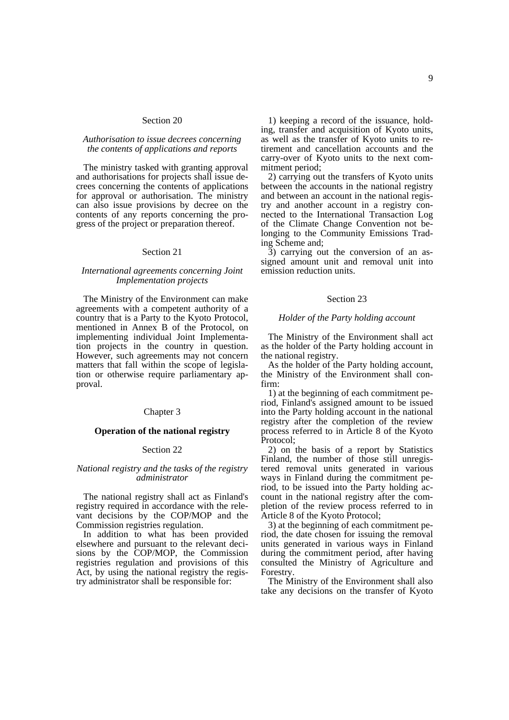# Section 20

# *Authorisation to issue decrees concerning the contents of applications and reports*

The ministry tasked with granting approval and authorisations for projects shall issue decrees concerning the contents of applications for approval or authorisation. The ministry can also issue provisions by decree on the contents of any reports concerning the progress of the project or preparation thereof.

### Section 21

# *International agreements concerning Joint Implementation projects*

The Ministry of the Environment can make agreements with a competent authority of a country that is a Party to the Kyoto Protocol, mentioned in Annex B of the Protocol, on implementing individual Joint Implementation projects in the country in question. However, such agreements may not concern matters that fall within the scope of legislation or otherwise require parliamentary approval.

### Chapter 3

#### **Operation of the national registry**

### Section 22

#### *National registry and the tasks of the registry administrator*

The national registry shall act as Finland's registry required in accordance with the relevant decisions by the COP/MOP and the Commission registries regulation.

In addition to what has been provided elsewhere and pursuant to the relevant decisions by the COP/MOP, the Commission registries regulation and provisions of this Act, by using the national registry the registry administrator shall be responsible for:

1) keeping a record of the issuance, holding, transfer and acquisition of Kyoto units, as well as the transfer of Kyoto units to retirement and cancellation accounts and the carry-over of Kyoto units to the next commitment period;

2) carrying out the transfers of Kyoto units between the accounts in the national registry and between an account in the national registry and another account in a registry connected to the International Transaction Log of the Climate Change Convention not belonging to the Community Emissions Trading Scheme and;

3) carrying out the conversion of an assigned amount unit and removal unit into emission reduction units.

#### Section 23

#### *Holder of the Party holding account*

The Ministry of the Environment shall act as the holder of the Party holding account in the national registry.

As the holder of the Party holding account, the Ministry of the Environment shall confirm:

1) at the beginning of each commitment period, Finland's assigned amount to be issued into the Party holding account in the national registry after the completion of the review process referred to in Article 8 of the Kyoto Protocol;

2) on the basis of a report by Statistics Finland, the number of those still unregistered removal units generated in various ways in Finland during the commitment period, to be issued into the Party holding account in the national registry after the completion of the review process referred to in Article 8 of the Kyoto Protocol;

3) at the beginning of each commitment period, the date chosen for issuing the removal units generated in various ways in Finland during the commitment period, after having consulted the Ministry of Agriculture and Forestry.

The Ministry of the Environment shall also take any decisions on the transfer of Kyoto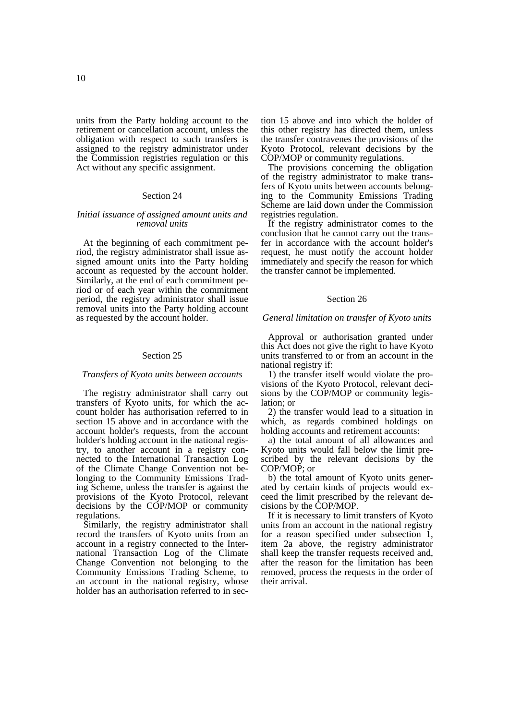units from the Party holding account to the retirement or cancellation account, unless the obligation with respect to such transfers is assigned to the registry administrator under the Commission registries regulation or this Act without any specific assignment.

#### Section 24

# *Initial issuance of assigned amount units and removal units*

At the beginning of each commitment period, the registry administrator shall issue assigned amount units into the Party holding account as requested by the account holder. Similarly, at the end of each commitment period or of each year within the commitment period, the registry administrator shall issue removal units into the Party holding account as requested by the account holder.

### Section 25

#### *Transfers of Kyoto units between accounts*

The registry administrator shall carry out transfers of Kyoto units, for which the account holder has authorisation referred to in section 15 above and in accordance with the account holder's requests, from the account holder's holding account in the national registry, to another account in a registry connected to the International Transaction Log of the Climate Change Convention not belonging to the Community Emissions Trading Scheme, unless the transfer is against the provisions of the Kyoto Protocol, relevant decisions by the COP/MOP or community regulations.

Similarly, the registry administrator shall record the transfers of Kyoto units from an account in a registry connected to the International Transaction Log of the Climate Change Convention not belonging to the Community Emissions Trading Scheme, to an account in the national registry, whose holder has an authorisation referred to in section 15 above and into which the holder of this other registry has directed them, unless the transfer contravenes the provisions of the Kyoto Protocol, relevant decisions by the COP/MOP or community regulations.

The provisions concerning the obligation of the registry administrator to make transfers of Kyoto units between accounts belonging to the Community Emissions Trading Scheme are laid down under the Commission registries regulation.

If the registry administrator comes to the conclusion that he cannot carry out the transfer in accordance with the account holder's request, he must notify the account holder immediately and specify the reason for which the transfer cannot be implemented.

#### Section 26

#### *General limitation on transfer of Kyoto units*

Approval or authorisation granted under this Act does not give the right to have Kyoto units transferred to or from an account in the national registry if:

1) the transfer itself would violate the provisions of the Kyoto Protocol, relevant decisions by the COP/MOP or community legislation; or

2) the transfer would lead to a situation in which, as regards combined holdings on holding accounts and retirement accounts:

a) the total amount of all allowances and Kyoto units would fall below the limit prescribed by the relevant decisions by the COP/MOP; or

b) the total amount of Kyoto units generated by certain kinds of projects would exceed the limit prescribed by the relevant decisions by the COP/MOP.

If it is necessary to limit transfers of Kyoto units from an account in the national registry for a reason specified under subsection 1, item 2a above, the registry administrator shall keep the transfer requests received and, after the reason for the limitation has been removed, process the requests in the order of their arrival.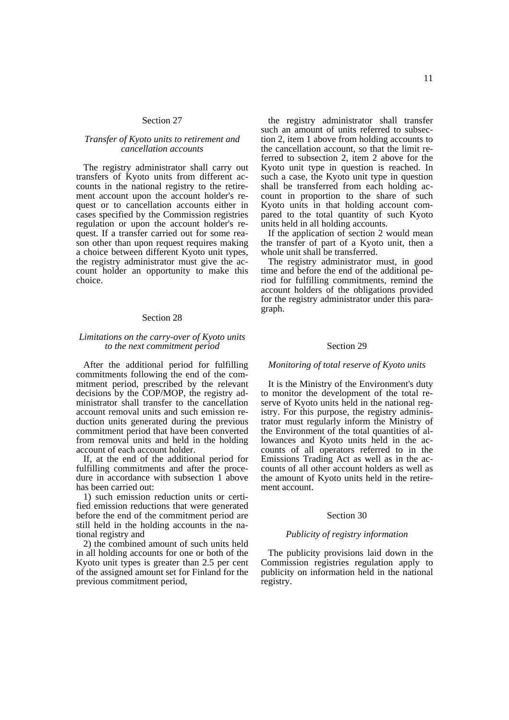# Section 27

# *Transfer of Kyoto units to retirement and cancellation accounts*

The registry administrator shall carry out transfers of Kyoto units from different accounts in the national registry to the retirement account upon the account holder's request or to cancellation accounts either in cases specified by the Commission registries regulation or upon the account holder's request. If a transfer carried out for some reason other than upon request requires making a choice between different Kyoto unit types, the registry administrator must give the account holder an opportunity to make this choice.

# Section 28

# *Limitations on the carry-over of Kyoto units to the next commitment period*

After the additional period for fulfilling commitments following the end of the commitment period, prescribed by the relevant decisions by the COP/MOP, the registry administrator shall transfer to the cancellation account removal units and such emission reduction units generated during the previous commitment period that have been converted from removal units and held in the holding account of each account holder.

If, at the end of the additional period for fulfilling commitments and after the procedure in accordance with subsection 1 above has been carried out:

1) such emission reduction units or certified emission reductions that were generated before the end of the commitment period are still held in the holding accounts in the national registry and

2) the combined amount of such units held in all holding accounts for one or both of the Kyoto unit types is greater than 2.5 per cent of the assigned amount set for Finland for the previous commitment period,

the registry administrator shall transfer such an amount of units referred to subsection 2, item 1 above from holding accounts to the cancellation account, so that the limit referred to subsection 2, item 2 above for the Kyoto unit type in question is reached. In such a case, the Kyoto unit type in question shall be transferred from each holding account in proportion to the share of such Kyoto units in that holding account compared to the total quantity of such Kyoto units held in all holding accounts.

If the application of section 2 would mean the transfer of part of a Kyoto unit, then a whole unit shall be transferred.

The registry administrator must, in good time and before the end of the additional period for fulfilling commitments, remind the account holders of the obligations provided for the registry administrator under this paragraph.

# Section 29

### *Monitoring of total reserve of Kyoto units*

It is the Ministry of the Environment's duty to monitor the development of the total reserve of Kyoto units held in the national registry. For this purpose, the registry administrator must regularly inform the Ministry of the Environment of the total quantities of allowances and Kyoto units held in the accounts of all operators referred to in the Emissions Trading Act as well as in the accounts of all other account holders as well as the amount of Kyoto units held in the retirement account.

#### Section 30

#### *Publicity of registry information*

The publicity provisions laid down in the Commission registries regulation apply to publicity on information held in the national registry.